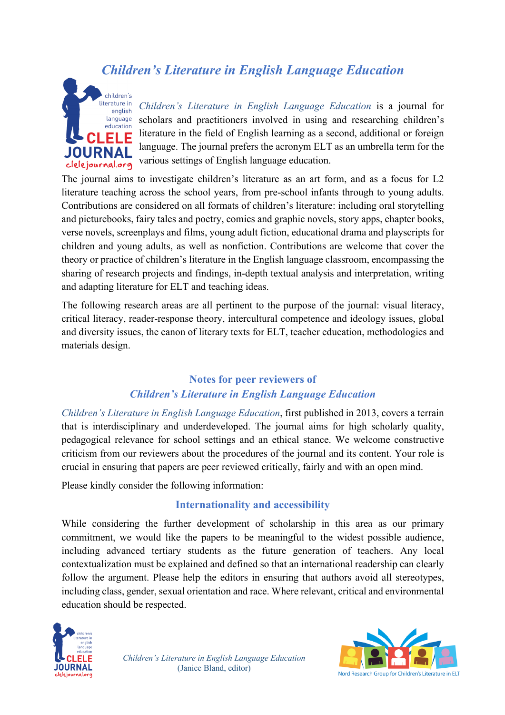# *Children's Literature in English Language Education*



*Children's Literature in English Language Education* is a journal for scholars and practitioners involved in using and researching children's literature in the field of English learning as a second, additional or foreign language. The journal prefers the acronym ELT as an umbrella term for the various settings of English language education.

The journal aims to investigate children's literature as an art form, and as a focus for L2 literature teaching across the school years, from pre-school infants through to young adults. Contributions are considered on all formats of children's literature: including oral storytelling and picturebooks, fairy tales and poetry, comics and graphic novels, story apps, chapter books, verse novels, screenplays and films, young adult fiction, educational drama and playscripts for children and young adults, as well as nonfiction. Contributions are welcome that cover the theory or practice of children's literature in the English language classroom, encompassing the sharing of research projects and findings, in-depth textual analysis and interpretation, writing and adapting literature for ELT and teaching ideas.

The following research areas are all pertinent to the purpose of the journal: visual literacy, critical literacy, reader-response theory, intercultural competence and ideology issues, global and diversity issues, the canon of literary texts for ELT, teacher education, methodologies and materials design.

### **Notes for peer reviewers of**  *Children's Literature in English Language Education*

*Children's Literature in English Language Education*, first published in 2013, covers a terrain that is interdisciplinary and underdeveloped. The journal aims for high scholarly quality, pedagogical relevance for school settings and an ethical stance. We welcome constructive criticism from our reviewers about the procedures of the journal and its content. Your role is crucial in ensuring that papers are peer reviewed critically, fairly and with an open mind.

Please kindly consider the following information:

#### **Internationality and accessibility**

While considering the further development of scholarship in this area as our primary commitment, we would like the papers to be meaningful to the widest possible audience, including advanced tertiary students as the future generation of teachers. Any local contextualization must be explained and defined so that an international readership can clearly follow the argument. Please help the editors in ensuring that authors avoid all stereotypes, including class, gender, sexual orientation and race. Where relevant, critical and environmental education should be respected.



*Children's Literature in English Language Education* (Janice Bland, editor)